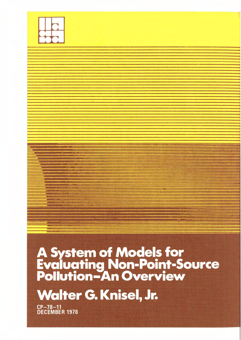

# **A System of Models for<br>Evaluating Non-Point-Source<br>Pollution-An Overview**

**Walter G. Knisel, Jr.** 

CP-78-11<br>DECEMBER 1978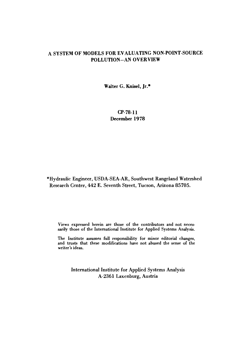# **A SYSTEM OF MODELS FOR EVALUATING NON-POINT-SOURCE POLLUTION-AN OVERVIEW**

**Walter G. Knisel, Jr.\*** 

**CP-78-11 December 1978** 

**"Hydraulic Engineer, USDA-SEA-AR, Southwest Rangeland Watershed Research Center, 442 E. Seventh Street, Tucson, Arizona 85705.** 

**Views expressed herein are those of the contributors and not necessarily those of the International Institute for Applied Systems Analysis.** 

**The Institute assumes full responsibility for minor editorial changes, and trusts that these modifications have not abused the sense of the writer's ideas.** 

**International Institute for Applied Systems Analysis A-2361 Laxenburg, Austria**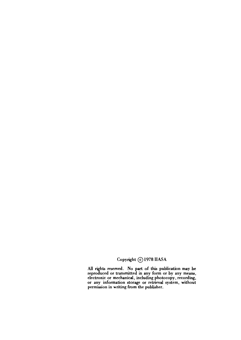# **Copyright** @ **1978 IIASA**

All rights reserved. No part of this publication may be reproduced or transmitted in any form or by any means, electronic or mechanical, including photocopy, recording, **or any information storage or retrieval system, without permission in writing from the publisher.**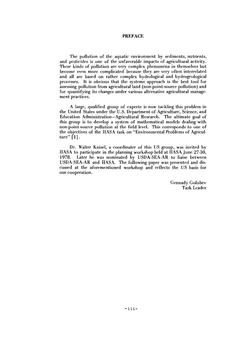# **PREFACE**

The pollution of thc aquatic environmcmt by sediments, nutrients, and pesticides is one of the unfavorable impacts of agricultural activity. These kinds of pollution are very complex phenomena in themselves but become even more complicated because they are very often interrelated and all are based on rather complex hydrological and hydrogeological processes. It is obvious that the systems approach is the best tool for assessing pollution from agricultural land (non-point-source pollution) and for quantifying its changes under various alternative agricultural management practices.

A large, qualified group of experts is now tackling this problem in the United States under the U.S. Department of Agriculture, Science, and Education Administration-Agricultural Research. The ultimate goal of this group is to develop a system of mathematical models dealing with non-point-source pollution at the field level. This corresponds to one of the objectives of the IIASA task on "Environmental Problems of Agriculture"  $[1]$ .

Dr. Walter Knisel, a coordinater of this US group, was invited by IIASA to participate in the planning workshop held at IIASA June 27-30, Later he was nominated by USDA-SEA-AR to liaise between USDA-SEA-AR and IIASA. The following paper was presented and discussed at the aforementioned workshop and reflects the US basis for our cooperation.

> Gennady Golubev Task Leader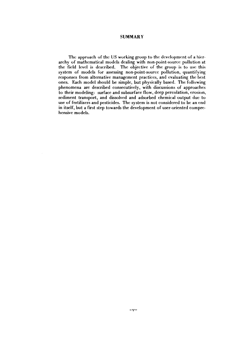# **SUMMARY**

The approach of the US working group to the development of a hicrarchy of mathematical models dealing with non-point-source pollution at the field level is described. The objective of the group is to usc this system of models for assessing non-point-source pollution, quantifying responses from alternative management practices, and evaluating thc bcst ones. Each model should be simple, but physically based. The following phenomena are described consecutively, with discussions of approaches to their modeling: surface and subsurface flow, deep percolation, erosion, sediment transport, and dissolved and adsorbed chemical output due to use of fertilizers and pesticides. The system is not considered to be an end in itself, but a first step towards the development of user-oriented comprehensive models.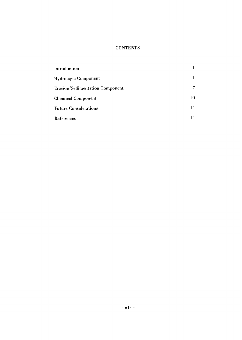# **CONTENTS**

| Introduction                           |    |
|----------------------------------------|----|
| Hydrologic Component                   |    |
| <b>Erosion/Sedimentation Component</b> |    |
| <b>Chemical Component</b>              | 10 |
| <b>Future Considerations</b>           | 14 |
| References                             | 14 |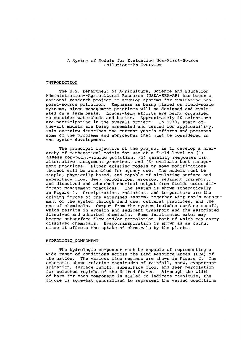## A System of Models for Evaluating Non-Point-Source Pollution--An Overview

#### INTRODUCTION

The U.S. Department of Agriculture, Science and Education Administration--Agricultural Research (USDA-SEA-AR) has begun a national research project to develop systems for evaluating nonpoint-source pollution. Emphasis is being placed on field-scale systems, since management practices will be designed and evaluated on a farm basis. Longer-term efforts are being organized to consider watersheds and basins. Approximately 50 scientists are participating in the overall project. In 1978, state-ofthe-art models are being assembled and tested for applicability. This overview describes the current year's efforts and presents some of the problems and approaches that must be considered in the system development.

The principal objective of the project is to develop a hierarchy of mathematical models for use at a field level to (1) assess non-point-source pollution, (2) quantify responses from alternative management practices, and **(3)** evaluate best management practices. Either existing models or some modifications thereof will be assembled for agency use. The models must be simple, physically based, and capable of simulating surface and subsurface flow, deep percolation, erosion, sediment transport, and dissolved and adsorbed chemical output from fields under different management practices. The system is shown schematically in Figure **1.** Precipitation, radiation, and temperature are the driving forces of the watershed system, together with man's management of the system through land use, cultural practices, and the use of chemicals. Output from the system includes surface runoff, which results in erosion and sediment transport and the associated dissolved and adsorbed chemicals. Some infiltrated water may become subsurface flow and/or percolation, both of which may carry dissolved chemicals. Evapotranspiration is shown as an output since it affects the uptake of chemicals by the plants.

# HYDROLOGIC COMPONENT

The hydrologic component must be capable of representing a wide range of conditions across the Land Resource Areas (LRA) of<br>the nation. The various flow regimes are shown in Figure 2. The the nation. The various flow regimes are shown in Figure 2. schematic shows relative magnitudes of rainfall, snow, evapotranspiration, surface runoff, subsurface flow, and deep percolation for selected regiohs of the United States. Although the width of bars for each component is scaled to indicate maqnitude, the figure is somewhat generalized to represent the varied conditions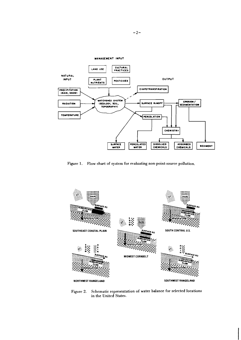

Figure 1. Flow chart of system for evaluating non-point-source pollution.



Schematic representation of water balance for selected locations Figure 2. in the United States.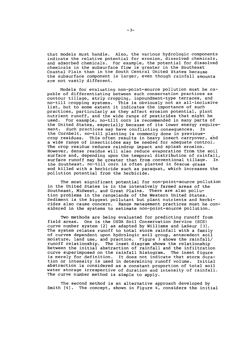that models must handle. Also, the various hydrologic components indicate the relative potential for erosion, dissolved chemicals, and adsorbed chemicals. For example, the potential for dissolved chemicals in the subsurface flow is greater in the Southeast Coastal Plain than in the South Central United States because the subsurface component is larger, even though rainfall amounts are not vastly different.

Models for evaluating non-point-source pollution must be capable of differentiating between such conservation practices as contour tillage, strip cropping, inpoundment-type terraces, and no-till cropping systems. This is obviously not an all-inclusive list, but to some extent it indicates the importance of such practices, particularly as they affect erosion potential, plant nutrient runoff, and the wide range of pesticides that might be used. For example, no-till corn is recommended in many parts o: For example, no-till corn is recommended in many parts of the United States, especially because of its lower energy require-<br>ment. Such practices may have conflicting consequences. In Such practices may have conflicting consequences. In monto been presenced may make continuous condequenced. In crop residues. This often results in heavy insect carryover, and a wide range of insecticides may be needed for adequate control. The crop residue reduces raindrop impact and splash erosion. However, dense residue will also reduce evaporation from the soil surface and, depending upon the temporal distribution of rainfall,<br>surface runoff may be greater than from conventional tillage. In surface runoff may be greater than from conventional tillage. the Southeast, no-till corn is often planted in fescue grass sod killed with a herbicide such as paraquat, which increases the pollution potential from the herbicide.

The most significant potential for non-point-source pollution in the United States is in the intensively farmed areas of the Southeast, Midwest, and Great Plains. There are also pollution problems in the rangelands of the Western United States. Sediment is the biggest pollutant but plant nutrients and herbicides also cause concern. Range management practices must be con-<br>sidered in the systems to estimate non-point-source pollution.

Two methods are being evaluated for predicting runoff from field areas. One is the USDA Soil Conservation Service (SCS) curve number system [2] as adapted by Williams and LaSeur [3]. The system relates runoff to total storm rainfall with a family of curves dependent upon hydrologic soil group, antecedent soil moisture, land use, and practice. Figure 3 shows the rainfall/ runoff relationship. The inset diagram shows the relationship between the initial abstraction of rainfall and the infiltration curve superimposed on the rainfall histogram. The inset figure is merely for definition. It does not indicate that storm dura-<br>tion or intensity is used in determining runoff volume. Initial tion or intensity is used in determining runoff volume. abstraction is considered as a constant proportion of total soil water storage irrespective of duration and intensity of rainfall. The curve number method is simple to apply.

The second method is an alternative approach developed by Smith [41. The concept, shown in Figure 4, considers the initial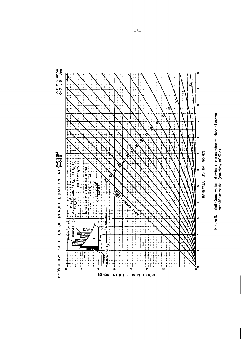

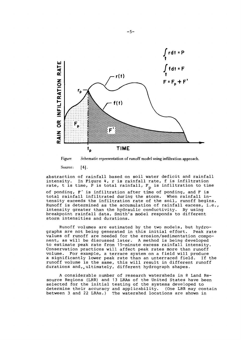



**Source: [4]** 

abstraction of rainfall based on soil water deficit and rainfall intensity. In Figure 4, r is rainfall rate, f is infiltration rate, t is time,  $\tilde{P}$  is total rainfall,  $F_{D}$  is infiltration to time of ponding,  $F'$  is infiltration after time of ponding, and  $F$  is total rainfall infiltrated during the storm. When rainfall intotal rainfall infiltrated during the storm. tensity exceeds the infiltration rate of the soil, runoff begins. Runoff is determined as the accumulation of rainfall excess, i.e., intensity greater than the hydraulic conductivity. By using breakpoint rainfall data, Smith's model responds to different storm intensities and durations.

Runoff volumes are estimated by the two models, but hydro-<br>is are not being generated in this initial effort. Peak rate graphs are not being generated in this initial effort. values of runoff are needed for the erosion/sedimentation component, as will be discussed later. A method is being developed to estimate peak rate from 15-minute excess rainfall intensity. Conservation practices will affect peak rates more than runoff volume. For example, a terrace system on a field will produce a significantly lower peak rate than an unterraced field. If the runoff volume is the same, this will result in different runoff durations and, ultimately, different hydrograph shapes.

A considerable number of research watersheds in 8 Land Resource Regions (LRR) and 13 LRAs of the United States have been selected for the initial testing of the systems developed to determine their accuracy and applicability. (One LRR may contain between 3 and 22 LRAs.) The watershed locations are shown in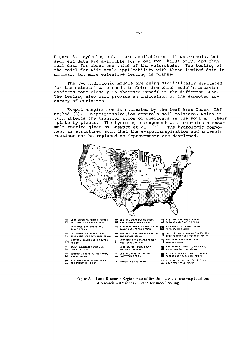Figure 5. Hydrologic data are available on all watersheds, but sediment data are available for about two thirds only, and chemical data for about one third of the watersheds. The testing of the model for wide-scale applicability with these limited data is minimal, but more extensive testing is planned.

The two hydrologic models are being statistically evaluated for the selected watersheds to determine which model's behavior conforms more closely to observed runoff in the different LRAs. The testing also will provide an indication of the expected ac- curacy of estimates.

Evapotranspiration is estimated by the Leaf Area Index (LAI) method [5]. Evapotranspiration controls soil moisture, which in turn affects the transformation of chemicals in the soil and their<br>uptake by plants. The hydrologic component also contains a snowmelt routine given by Stewart et al. [6]. The hydrologic component is structured such that the evapotranspiration and snowmelt routines can be replaced as improvements are developed.



Figure 5. Land Resource Region map of the United States showing locations of research watersheds selected for model testing.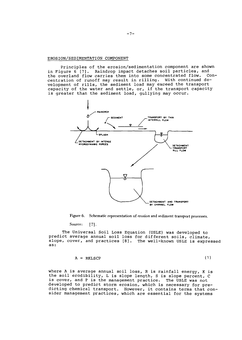#### EROSION/SEDIMENTATION COMPONENT

Principles of the erosion/sedimentation component are shown in Figure 6 **[7].** Raindrop impact detaches soil particles, and the overland flow carries them into some concentrated flow. Concentration of runoff may result in rilling. With continued development of rills, the sediment load may exceed the transport capacity of the water and settle, or, if the transport capacity is greater than the sediment load, gullying may occur.



**Figure 6. Schematic representation of erosion and sediment transport processes.** 

**Source:** *[7].* 

The Universal Soil Loss Equation (USLE) was developed to predict average annual soil loss for different soils, climate, produce divertige annual soft foss for ufficient softs, cfinate,<br>slope, cover, and practices [8]. The well-known USLE is expressed<br>as:

$$
A = RKLSCP \tag{1}
$$

where A is average annual soil loss, R is rainfall energy, K is the soil erodibility, L is slope length, S is slope percent, C is cover, and **P** is the management practice. The USLE was not developed to predict storm erosion, which is necessary for predicting chemical transport. However, it contains terms that consider management practices, which are essential for the systems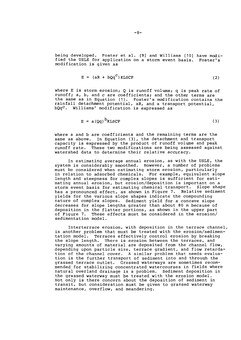being developed. Foster et al. [9] and Williams [lo] have modified the USLE for application on a storm event basis. Foster's modification is given as

$$
E = (aR + bQq^{C})KLSCP
$$
 (2)

where E is storm erosion; Q is runoff volume; q is peak rate of runoff; a, b, and c are coefficients; and the other terms are the same as in Equation (1). Foster's modification contains the rainfall detachment potential, aR, and a transport potential, bQqC. Williams' modification is expressed as

$$
E = a (Qq)^{b} KLSCP
$$
 (3)

where a and b are coefficients and the remaining terms are the same as above. In Equation (3), the detachment and transport capacity is expressed by the product of runoff volume and peak runoff rate. These two modifications are being assessed against watershed data to determine their relative accuracy.

In estimating average annual erosion, as with the USLE, the system is considerably smoothed. However, a number of problems must be considered when estimating storm erosion, particularly in relation to adsorbed chemicals. For example, equivalent slope length and steepness for complex slopes is sufficient for estimating annual erosion, but erosion/deposition is important on a storm event basis for estimating chemical transport. Slope shape has a pronounced effect, as shown in Figure **7.** Relative sediment yields for the various slope shapes indicate the compounding nature of complex slopes. Sediment yield for a concave slope decreases for slope lengths greater than about 80 m because of deposition in the flatter portions, as shown in the upper part of Figure **7.** These effects must be considered in the erosion/ sedimentation model.

Interterrace erosion, with deposition in the terrace channel, is another problem that must be treated with the erosion/sedimentation model. Terraces effectively control erosion by breaking the slope length. There is erosion between the terraces, and varying amounts of material are deposited from the channel flow, depending upon particle size, terrace gradient, and flow retardation of the channel cover. **A** similar problem that needs evalua-tion is the further transport of sediment into and through the grassed terrace outlet. Grassed waterways are sometimes recommended for stabilizing concentrated watercourses in Fields where natural overland drainage is a problem. Sediment deposition in the grassed waterway must be treated with the erosion model. Not only is there concern about the deposition of sediment in transit, but consideration must be given to grassed waterway maintenance, overflow, and meandering.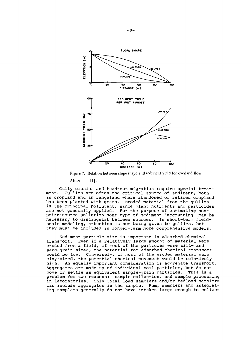![](_page_18_Figure_0.jpeg)

**Figure 7. Relation between slope shape and sediment yield for overland flow.** 

**After: [ll]** 

Gully erosion and head-cut migration require special treat-<br>ment. Gullies are often the critical source of sediment, both Gullies are often the critical source of sediment, both in cropland and in rangeland where abandoned or retired cropland has been planted with grass. Eroded material from the gullies is the principal pollutant, since plant nutrients and pesticides are not generally applied. For the purpose of estimating nonpoint-source pollution some type of sediment "accounting" may be necessary to distinguish between sources. In short-term fieldscale modeling, attention is not being given to gullies, but they must be included in longer-term more comprehensive models.

Sediment particle size is important in adsorbed chemical transport. Even if a relatively large amount of material were eroded from a field, if most of the particles were silt- and sand-grain-sized, the potential for adsorbed chemical transport would be low. Conversely, if most of the eroded material were clay-sized, the potential chemical movement would be relatively high. An equally important consideration is aggregate transport. Aggregates are made up of individual soil particles, but do not move or settle as equivalent single-grain particles. This is a problem for two reasons: sample collection, and sample processing in laboratories. Only total load samplers and/or bedload samplers can include aggregates in the sample. Pump samplers and integrating samplers generally do not have intakes large enough to collect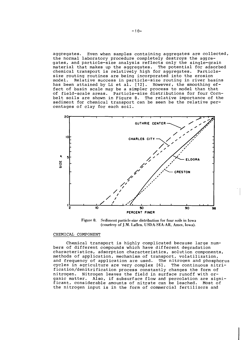aggregates. Even when samples containing aggregates are collected, the normal laboratory procedure completely destroys the aggregates, and particle-size analysis reflects only the single-grain material that makes up the aggregates. The potential for adsorbed chemical transport is relatively high for aggregates. Particlesize routing routines are being incorporated into the erosion<br>model. Relative success in particle-size routing in river ba Relative success in particle-size routing in river basins has been attained by Li et al. **[12].** However, the smoothing effect of basin scale may be a simpler process to model than that of field-scale areas. Particle-size distributions for four Cornbelt soils are shown in Figure 8. The relative importance of the sediment for chemical transport can be seen be the relative percentages of clay for each soil.

![](_page_19_Figure_1.jpeg)

**Figure 8. Sediment particle-sizr distribution for four soils in Iowa (courtesy of J.M. Laflen. USDA-SEA-AR. Ames. Iowa).** 

# CHEMICAL COMPONENT

Chemical transport is highly complicated because larqe numbers of different compounds which have different degradation characteristics, adsorption characteristics, solution components, methods of application, mechanism of transport, volatilization,<br>and frequency of application are used. The nitrogen and phosphorus and frequency of application are used. The nitrogen and phosphorus cycles in agriculture are very complex [6]. The continuous nitricycles in agriculture are very complex [6]. **fication/denitrification** process constantly changes the form of nitrogen. Nitrogen leaves the field in surface runoff with organic matter. Also, if subsurface flow and percolation are significant, considerable amounts of nitrate can be leached. Most of the nitrogen input is in the form of commercial fertilizers and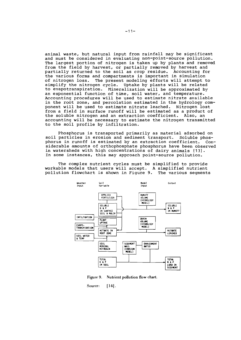animal waste, but natural input from rainfall may be significant and must be considered in evaluating non-point-source pollution. The largest portion of nitrogen is taken up by plants and removed from the field by harvest, or partially removed by harvest and partially returned to the soil as crop residue. Accounting for the various forms and compartments is important in simulation of nitrogen loss. The present modeling efforts will attempt to simplify the nitrogen cycle. Uptake by plants will be related to evapotranspiration. Mineralization will be approximated by an exponential function of time, soil water, and temperature. Accounting procedures will be used to estimate nitrate available in the root zone, and percolation estimated in the hydrology component will be used to estimate nitrate leached. from a field in surface runoff will be estimated as a product of<br>the soluble nitrogen and an extraction coefficient. Also, an the soluble nitrogen and an extraction coefficient. accounting will be necessary to estimate the nitrogen transmitted to the soil profile by infiltration.

Phosphorus is transported primarily as material adsorbed on soil particles in erosion and sediment transport. Soluble phos-<br>phorus in runoff is estimated by an extraction coefficient. Conphorus in runoff is estimated by an extraction coefficient. siderable amounts of orthophosphate phosphorus have been observed in watersheds with high concentrations of dairy animals [13]. In some instances, this may approach point-source pollution.

The complex nutrient cycles must be simplified to provide workable models that users will accept. A simplified nutrient pollution flowchart is shown in Figure 9. The various segments

![](_page_20_Figure_3.jpeg)

**Figure 9. Nutrient pollution flow chart.** 

**Source: [14].**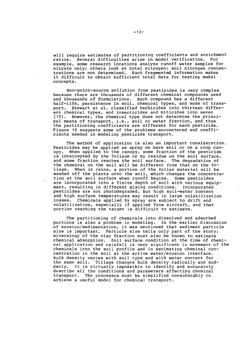will require estimates of partitioning coefficients and enrichment ratios. Several difficulties arise in model verification. For example, some research locations analyze runoff water samples for nitrate only; others look at total nitrogen; soil nitrogen concentrations are not determined. Such fragmented information makes it difficult to obtain sufficient total data for testing model concepts.

Non-point-source pollution from pesticides is very complex because there are thousands of different chemical compounds used and thousands of formulations. Each compound has a different half-life, persistence in soil, chemical types, and mode of transport. Stewart et al. classified herbicides into thirteen different chemical types, and insecticides and miticides into seven [15]. However, the chemical type does not determine the principal means of transport, i.e., soil or water fraction, and thus the partitioning coefficients are different for each pesticide. Figure 10 suggests some of the problems encountered and coefficients needed in modeling pesticide transport.

The method of application is also an important consideration. Pesticides may be applied as spray on bare soil or on a crop canopy. When applied to the canopy, some fraction of the pesticide is intercepted by the foliage or by residue on the soil surface, and some fraction reaches the soil surface. The degradation of the chemical on the soil will be different from that on the fo-<br>liage. When it rains, a portion of the foliar material will be When it rains, a portion of the foliar material will be washed off the plants onto the soil, which changes the concentration at the soil surface when runoff begins. Some pesticides are incorporated into a finite depth of soil with various equipment, resulting in different mixing conditions. Incorporated pesticides are not photodegraded, but high soil-water content and high surface temperatures may result in large volatilization losses. Chemicals applied by spray are subject to drift and volatilization, especially if applied from aircraft, and that portion reaching the target is difficult to estimate.

The partitioning of chemicals into dissolved and adsorbed portions is also a problem in modeling. In the earlier discussion of erosion/sedimentation, it was mentioned that sediment particle size is important. Particle size tells only part of the story; mineralogy of the clay fraction must also be known to estimate chemical adsorption. Soil surface condition at the time of chemical application and rainfall is very significant in movement of the chemicals into the soil profile and in estimating chemical concentration in the soil at the active water/erosion interface. Bulk density varies with soil type and with water content for the same soil. Tillage changes bulk density radically and sud-<br>denly. It is virtually impossible to identify and accurately It is virtually impossible to identify and accurately describe all the conditions and parameters affecting chemical transport. The processes must be simplified considerably to achieve a useful model for chemical transport.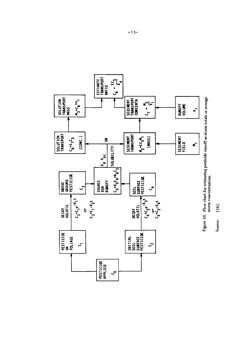![](_page_22_Figure_0.jpeg)

![](_page_22_Figure_1.jpeg)

Source:

 $[16].$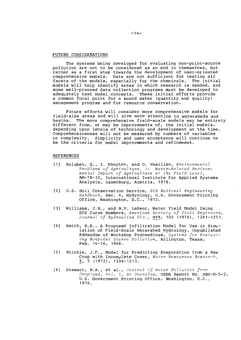## FUTURE CONSIDERATIONS

The systems being developed for evaluating non-point-source pollution are not to be considered as an end in themselves, but rather as a first step towards the development of user-oriented comprehensive mdels. Data are not sufficient for testing all facets of the models, especially for the chemicals. The initial models will help identify areas in which research is needed, and some well-planned data collection programs must be developed to adequately test model concepts. These initial efforts provide a common focal point for a sound water (quantity and quality) management program and for resource conservation.

Future efforts will consider more comprehensive models for field-size areas and will give more attention to watersheds and basins. The more comprehensive field-scale models may be entirely different from, or may be improvements of, the initial models, depending upon levels of technology and development at the time. Comprehensiveness will not be measured by numbers of variables or complexity. Simplicity and user acceptance will continue to be the criteria for model improvements and refinement.

#### REFERENCES

- [I] Golubev, G., I. Shvytov, and 0. Vasiliev, *Environmental*  Problems of Agriculture. 1: Water-Related Environ*mental Impact of Agriculture at the Field Level,*  RM-78-32, International Institute for Applied Systems Analysis, Laxenburg, Austria, 1978.
- [2] U.S. Soil Conservation Service, *SCS National Engineering Handbook,* Sec. 4, Hydrology, U.S. Government Printing Office, Washington, D.C., 1972.
- [3] Williams, J.R., and N.V. LaSeur, Water Yield Model Using SCS Curve Numbers, *American Society of Civil Engineers, Admabook*, Sec. 4, Hydrology, U.S. Government Printing<br>Office, Washington, D.C., 1972.<br>SCS Curve Numbers, American Society of Civil Engineers,<br>Journal of Hydraulics Div., <u>HY9</u>, 102 (1976), 1241-1253.
- [41 Smith, R.E., A Proposed Infiltration Model for Use in Simulation of Field-Scale Watershed Hydrology, Unpublished Addendum of Workshop Proceedings, *Systems for Evaluating Nonpoint Source Pollution,* Arlington, Texas, Feb. 14-16, 1968.
- [5] Ritchie, J.F., Model for Predicting Evaporation from a Raw Crop with Incomplete Cover, Water Resources Research, **3,** 5 (1972), 1204-1213. -
- *[6]* Stewart, B.A., et al., *Control of. Water PoL7ution from Cropland, Vol. 2, An Ov~rview,* USDA Report No. ARS-H-5-2, U.S. Government Printing Office, Washington, D.C., 1976.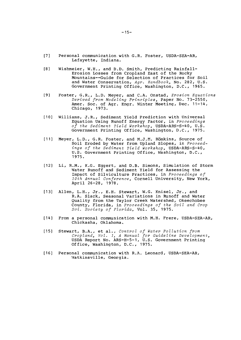- $[7]$ Personal communication.with G.R. Foster, USDA-SEA-AR, Lafayette, Indiana.
- $[8]$ Wishmeier, W.H., and D.D. Smith, Predicting Rainfall-Erosion Losses from Cropland East of the Rocky Mountains--Guide for Selection of Practices for Soil and Water Conservation, *Agr. Handbook,* No. 282, U.S. Government Printing Office, Washington, D.C., 1965.
- $[9]$ Foster, G.R., L.D. Meyer, and C.A. Onstad, *Erosion Equations Derived from Modeling Principles,* Paper No. 73-2550, Amer. Soc. of Agr. Engr. Winter Meeting, Dec. 11-14, Chicago, 1973.
- $[10]$ Williams, J.R., Sediment Yield Prediction with Universal Equation Using Runoff Energy Factor, in *Proceedings of the Sediment Yield Workshop,* USDA-ARS-S-40, U.S. Government Printing Office, Washington, D.C., 1975.
- [11] Meyer, L.D., G.R. Foster, and M.J.M. Römkins, Source of Soil Eroded by Water from Upland Slopes, in *Proceedings of the Sediment Yie ld Workshop,* USDA-ARS-S-40, U.S. Government Printing Office, Washington, D.C., 1975.
- Li, R.M., K.G. Eggert, and D.B. Simons, Simulation of Storm Water Runoff and Sediment Yield for Assessing the Impact of Silviculture Practices, in *Proceedings of 10th Annual Conference,* Cornell University, New York, April 26-28, 1978.
- Allen, L.H., Jr., E.H. Stewart, W.G. Knisel, Jr., and R.A. Slack, Seasonal Variations in Runoff and Water Quality from the Taylor Creek Watershed, Okeechobee County, Florida, in *Proceedings of the Soil and Crop Sci. Society of Florida,* Vol. 35, 1975.
- [14] From a personal communication with M.H. Frere, USDA-SEA-AR, Chickasha, Oklahoma.
- $[15]$ Stewart, B.A., et al., *Control of Water Pollution from Cropland, Vol. I, A Manual for Guideline Development,*  USDA Report No. ARS-H-5-1, U.S. Government Printing Office, Washington, D.C., 1975.
- [16] Personal communication with R.A. Leonard, USDA-SEA-AR, Watkinsville, Georgia.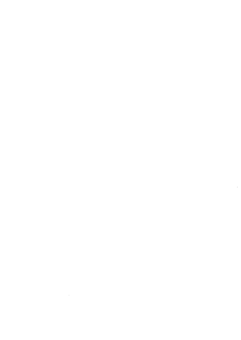$\mathcal{A}^{\mathcal{A}}$  $\mathcal{L}^{\text{max}}_{\text{max}}$